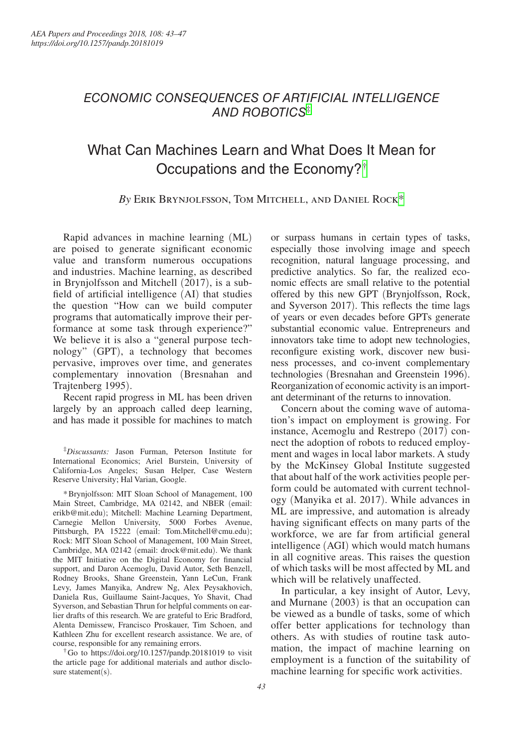# *ECONOMIC CONSEQUENCES OF ARTIFICIAL INTELLIGENCE AND ROBOTICS*‡

# What Can Machines Learn and What Does It Mean for Occupations and the Economy?[†](#page-0-0)

# *By* Erik Brynjolfsson, Tom Mitchell, and Daniel Rock[\\*](#page-0-1)

Rapid advances in machine learning (ML) are poised to generate significant economic value and transform numerous occupations and industries. Machine learning, as described in Brynjolfsson and Mitchell (2017), is a subfield of artificial intelligence (AI) that studies the question "How can we build computer programs that automatically improve their performance at some task through experience?" We believe it is also a "general purpose technology" (GPT), a technology that becomes pervasive, improves over time, and generates complementary innovation (Bresnahan and Trajtenberg 1995).

Recent rapid progress in ML has been driven largely by an approach called deep learning, and has made it possible for machines to match

‡ *Discussants:* Jason Furman, Peterson Institute for International Economics; Ariel Burstein, University of California-Los Angeles; Susan Helper, Case Western Reserve University; Hal Varian, Google.

<span id="page-0-1"></span>\*Brynjolfsson: MIT Sloan School of Management, 100 Main Street, Cambridge, MA 02142, and NBER (email: erikb@mit.edu); Mitchell: Machine Learning Department, Carnegie Mellon University, 5000 Forbes Avenue, Pittsburgh, PA 15222 (email: Tom.Mitchell@cmu.edu); Rock: MIT Sloan School of Management, 100 Main Street, Cambridge, MA 02142 (email: drock@mit.edu). We thank the MIT Initiative on the Digital Economy for financial support, and Daron Acemoglu, David Autor, Seth Benzell, Rodney Brooks, Shane Greenstein, Yann LeCun, Frank Levy, James Manyika, Andrew Ng, Alex Peysakhovich, Daniela Rus, Guillaume Saint-Jacques, Yo Shavit, Chad Syverson, and Sebastian Thrun for helpful comments on earlier drafts of this research. We are grateful to Eric Bradford, Alenta Demissew, Francisco Proskauer, Tim Schoen, and Kathleen Zhu for excellent research assistance. We are, of course, responsible for any remaining errors.

<span id="page-0-0"></span>†Go to https://doi.org/10.1257/pandp.20181019 to visit the article page for additional materials and author disclosure statement(s).

or surpass humans in certain types of tasks, especially those involving image and speech recognition, natural language processing, and predictive analytics. So far, the realized economic effects are small relative to the potential offered by this new GPT (Brynjolfsson, Rock, and Syverson 2017). This reflects the time lags of years or even decades before GPTs generate substantial economic value. Entrepreneurs and innovators take time to adopt new technologies, reconfigure existing work, discover new business processes, and co-invent complementary technologies (Bresnahan and Greenstein 1996). Reorganization of economic activity is an important determinant of the returns to innovation.

Concern about the coming wave of automation's impact on employment is growing. For instance, Acemoglu and Restrepo (2017) connect the adoption of robots to reduced employment and wages in local labor markets. A study by the McKinsey Global Institute suggested that about half of the work activities people perform could be automated with current technology (Manyika et al. 2017). While advances in ML are impressive, and automation is already having significant effects on many parts of the workforce, we are far from artificial general intelligence (AGI) which would match humans in all cognitive areas. This raises the question of which tasks will be most affected by ML and which will be relatively unaffected.

In particular, a key insight of Autor, Levy, and Murnane (2003) is that an occupation can be viewed as a bundle of tasks, some of which offer better applications for technology than others. As with studies of routine task automation, the impact of machine learning on employment is a function of the suitability of machine learning for specific work activities.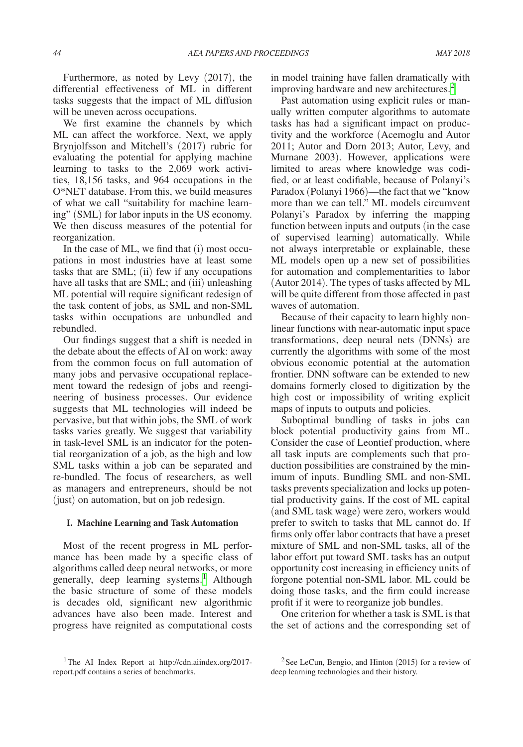Furthermore, as noted by Levy (2017), the differential effectiveness of ML in different tasks suggests that the impact of ML diffusion will be uneven across occupations.

We first examine the channels by which ML can affect the workforce. Next, we apply Brynjolfsson and Mitchell's (2017) rubric for evaluating the potential for applying machine learning to tasks to the 2,069 work activities, 18,156 tasks, and 964 occupations in the O\*NET database. From this, we build measures of what we call "suitability for machine learning" (SML) for labor inputs in the US economy. We then discuss measures of the potential for reorganization.

In the case of ML, we find that (i) most occupations in most industries have at least some tasks that are SML; (ii) few if any occupations have all tasks that are SML; and (iii) unleashing ML potential will require significant redesign of the task content of jobs, as SML and non-SML tasks within occupations are unbundled and rebundled.

Our findings suggest that a shift is needed in the debate about the effects of AI on work: away from the common focus on full automation of many jobs and pervasive occupational replacement toward the redesign of jobs and reengineering of business processes. Our evidence suggests that ML technologies will indeed be pervasive, but that within jobs, the SML of work tasks varies greatly. We suggest that variability in task-level SML is an indicator for the potential reorganization of a job, as the high and low SML tasks within a job can be separated and re-bundled. The focus of researchers, as well as managers and entrepreneurs, should be not (just) on automation, but on job redesign.

#### **I. Machine Learning and Task Automation**

Most of the recent progress in ML performance has been made by a specific class of algorithms called deep neural networks, or more generally, deep learning systems.<sup>[1](#page-1-0)</sup> Although the basic structure of some of these models is decades old, significant new algorithmic advances have also been made. Interest and progress have reignited as computational costs

in model training have fallen dramatically with improving hardware and new architectures.

Past automation using explicit rules or manually written computer algorithms to automate tasks has had a significant impact on productivity and the workforce (Acemoglu and Autor 2011; Autor and Dorn 2013; Autor, Levy, and Murnane 2003). However, applications were limited to areas where knowledge was codified, or at least codifiable, because of Polanyi's Paradox (Polanyi 1966)—the fact that we "know more than we can tell." ML models circumvent Polanyi's Paradox by inferring the mapping function between inputs and outputs (in the case of supervised learning) automatically. While not always interpretable or explainable, these ML models open up a new set of possibilities for automation and complementarities to labor (Autor 2014). The types of tasks affected by ML will be quite different from those affected in past waves of automation.

Because of their capacity to learn highly nonlinear functions with near-automatic input space transformations, deep neural nets (DNNs) are currently the algorithms with some of the most obvious economic potential at the automation frontier. DNN software can be extended to new domains formerly closed to digitization by the high cost or impossibility of writing explicit maps of inputs to outputs and policies.

Suboptimal bundling of tasks in jobs can block potential productivity gains from ML. Consider the case of Leontief production, where all task inputs are complements such that production possibilities are constrained by the minimum of inputs. Bundling SML and non-SML tasks prevents specialization and locks up potential productivity gains. If the cost of ML capital (and SML task wage) were zero, workers would prefer to switch to tasks that ML cannot do. If firms only offer labor contracts that have a preset mixture of SML and non-SML tasks, all of the labor effort put toward SML tasks has an output opportunity cost increasing in efficiency units of forgone potential non-SML labor. ML could be doing those tasks, and the firm could increase profit if it were to reorganize job bundles.

One criterion for whether a task is SML is that the set of actions and the corresponding set of

<span id="page-1-0"></span><sup>&</sup>lt;sup>1</sup>The AI Index Report at http://cdn.aiindex.org/2017report.pdf contains a series of benchmarks.

<span id="page-1-1"></span> $2$ See LeCun, Bengio, and Hinton (2015) for a review of deep learning technologies and their history.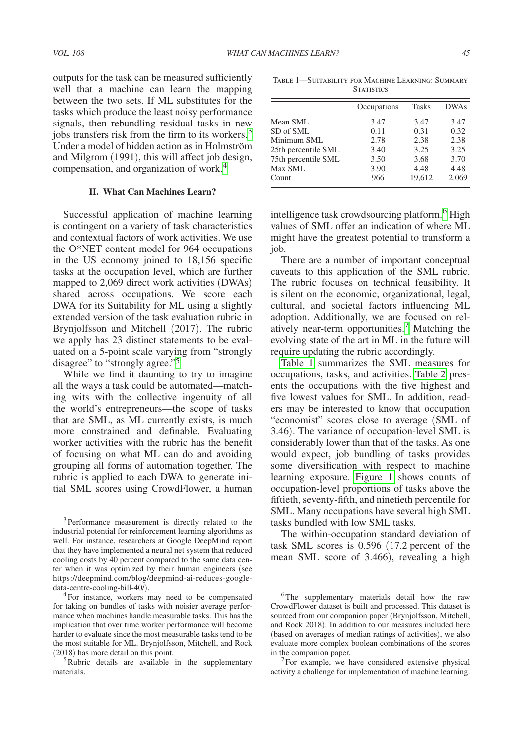outputs for the task can be measured sufficiently well that a machine can learn the mapping between the two sets. If ML substitutes for the tasks which produce the least noisy performance signals, then rebundling residual tasks in new jobs transfers risk from the firm to its workers.<sup>[3](#page-2-0)</sup> Under a model of hidden action as in Holmström and Milgrom (1991), this will affect job design, compensation, and organization of work.<sup>[4](#page-2-1)</sup>

## **II. What Can Machines Learn?**

Successful application of machine learning is contingent on a variety of task characteristics and contextual factors of work activities. We use the O\*NET content model for 964 occupations in the US economy joined to 18,156 specific tasks at the occupation level, which are further mapped to 2,069 direct work activities (DWAs) shared across occupations. We score each DWA for its Suitability for ML using a slightly extended version of the task evaluation rubric in Brynjolfsson and Mitchell (2017). The rubric we apply has 23 distinct statements to be evaluated on a 5-point scale varying from "strongly disagree" to "strongly agree."<sup>5</sup>

While we find it daunting to try to imagine all the ways a task could be automated—matching wits with the collective ingenuity of all the world's entrepreneurs—the scope of tasks that are SML, as ML currently exists, is much more constrained and definable. Evaluating worker activities with the rubric has the benefit of focusing on what ML can do and avoiding grouping all forms of automation together. The rubric is applied to each DWA to generate initial SML scores using CrowdFlower, a human

<span id="page-2-0"></span><sup>3</sup>Performance measurement is directly related to the industrial potential for reinforcement learning algorithms as well. For instance, researchers at Google DeepMind report that they have implemented a neural net system that reduced cooling costs by 40 percent compared to the same data center when it was optimized by their human engineers (see https://deepmind.com/blog/deepmind-ai-reduces-google-

<span id="page-2-1"></span>data-centre-cooling-bill-40/).<br><sup>4</sup>For instance, workers may need to be compensated for taking on bundles of tasks with noisier average performance when machines handle measurable tasks. This has the implication that over time worker performance will become harder to evaluate since the most measurable tasks tend to be the most suitable for ML. Brynjolfsson, Mitchell, and Rock (2018) has more detail on this point.<br> $5Rubic$  details are available in the supplementary

<span id="page-2-2"></span>materials.

Table 1—Suitability for Machine Learning: Summary **STATISTICS** 

| Occupations | <b>Tasks</b> | <b>DWAs</b> |
|-------------|--------------|-------------|
| 3.47        | 3.47         | 3.47        |
| 0.11        | 0.31         | 0.32        |
| 2.78        | 2.38         | 2.38        |
| 3.40        | 3.25         | 3.25        |
| 3.50        | 3.68         | 3.70        |
| 3.90        | 4.48         | 4.48        |
| 966         | 19.612       | 2.069       |
|             |              |             |

intelligence task crowdsourcing platform.<sup>6</sup> High values of SML offer an indication of where ML might have the greatest potential to transform a job.

There are a number of important conceptual caveats to this application of the SML rubric. The rubric focuses on technical feasibility. It is silent on the economic, organizational, legal, cultural, and societal factors influencing ML adoption. Additionally, we are focused on rel-atively near-term opportunities.<sup>[7](#page-2-4)</sup> Matching the evolving state of the art in ML in the future will require updating the rubric accordingly.

Table 1 summarizes the SML measures for occupations, tasks, and activities. [Table](#page-3-0) 2 presents the occupations with the five highest and five lowest values for SML. In addition, readers may be interested to know that occupation "economist" scores close to average (SML of 3.46). The variance of occupation-level SML is considerably lower than that of the tasks. As one would expect, job bundling of tasks provides some diversification with respect to machine learning exposure. [Figure 1](#page-3-0) shows counts of occupation-level proportions of tasks above the fiftieth, seventy-fifth, and ninetieth percentile for SML. Many occupations have several high SML tasks bundled with low SML tasks.

The within-occupation standard deviation of task SML scores is 0.596 (17.2 percent of the mean SML score of 3.466), revealing a high

<span id="page-2-4"></span>activity a challenge for implementation of machine learning.

<span id="page-2-3"></span><sup>6</sup>The supplementary materials detail how the raw CrowdFlower dataset is built and processed. This dataset is sourced from our companion paper (Brynjolfsson, Mitchell, and Rock 2018). In addition to our measures included here (based on averages of median ratings of activities), we also evaluate more complex boolean combinations of the scores in the companion paper.<br><sup>7</sup>For example, we have considered extensive physical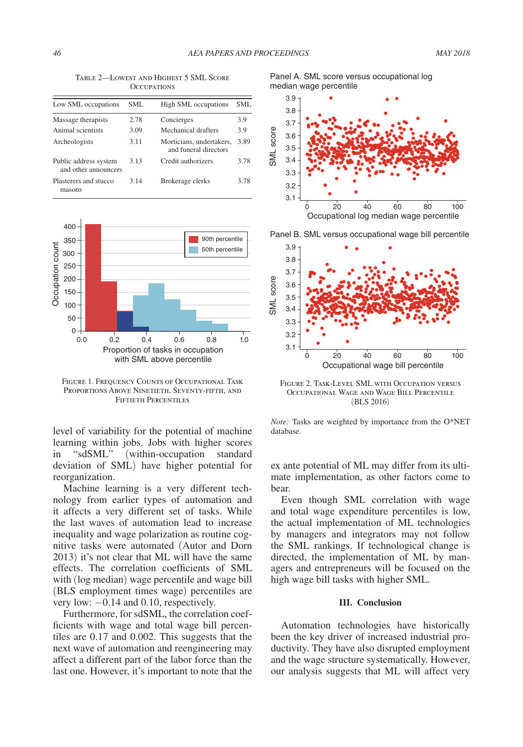<span id="page-3-0"></span>Table 2—Lowest and Highest 5 SML Score **OCCUPATIONS** 

| Low SML occupations                           | <b>SML</b> | High SML occupations                              | SML  |
|-----------------------------------------------|------------|---------------------------------------------------|------|
| Massage therapists                            | 2.78       | Concierges                                        | 3.9  |
| Animal scientists                             | 3.09       | Mechanical drafters                               | 3.9  |
| Archeologists                                 | 3.11       | Morticians, undertakers,<br>and funeral directors | 3.89 |
| Public address system<br>and other announcers | 3.13       | Credit authorizers                                | 3.78 |
| Plasterers and stucco<br>masons               | 3 1 4      | Brokerage clerks                                  | 3.78 |



Figure 1. Frequency Counts of Occupational Task Proportions Above Ninetieth, Seventy-fifth, and Fiftieth Percentiles

level of variability for the potential of machine learning within jobs. Jobs with higher scores in "sdSML" (within-occupation standard deviation of SML) have higher potential for reorganization.

Machine learning is a very different technology from earlier types of automation and it affects a very different set of tasks. While the last waves of automation lead to increase inequality and wage polarization as routine cognitive tasks were automated (Autor and Dorn 2013) it's not clear that ML will have the same effects. The correlation coefficients of SML with (log median) wage percentile and wage bill (BLS employment times wage) percentiles are very low: −0.14 and 0.10, respectively.

Furthermore, for sdSML, the correlation coefficients with wage and total wage bill percentiles are 0.17 and 0.002. This suggests that the next wave of automation and reengineering may affect a different part of the labor force than the last one. However, it's important to note that the

Panel A. SML score versus occupational log median wage percentile





Figure 2. Task-Level SML with Occupation versus Occupational Wage and Wage Bill Percentile (BLS 2016)

*Note:* Tasks are weighted by importance from the O\*NET database.

ex ante potential of ML may differ from its ultimate implementation, as other factors come to bear.

Even though SML correlation with wage and total wage expenditure percentiles is low, the actual implementation of ML technologies by managers and integrators may not follow the SML rankings. If technological change is directed, the implementation of ML by managers and entrepreneurs will be focused on the high wage bill tasks with higher SML.

## **III. Conclusion**

Automation technologies have historically been the key driver of increased industrial productivity. They have also disrupted employment and the wage structure systematically. However, our analysis suggests that ML will affect very